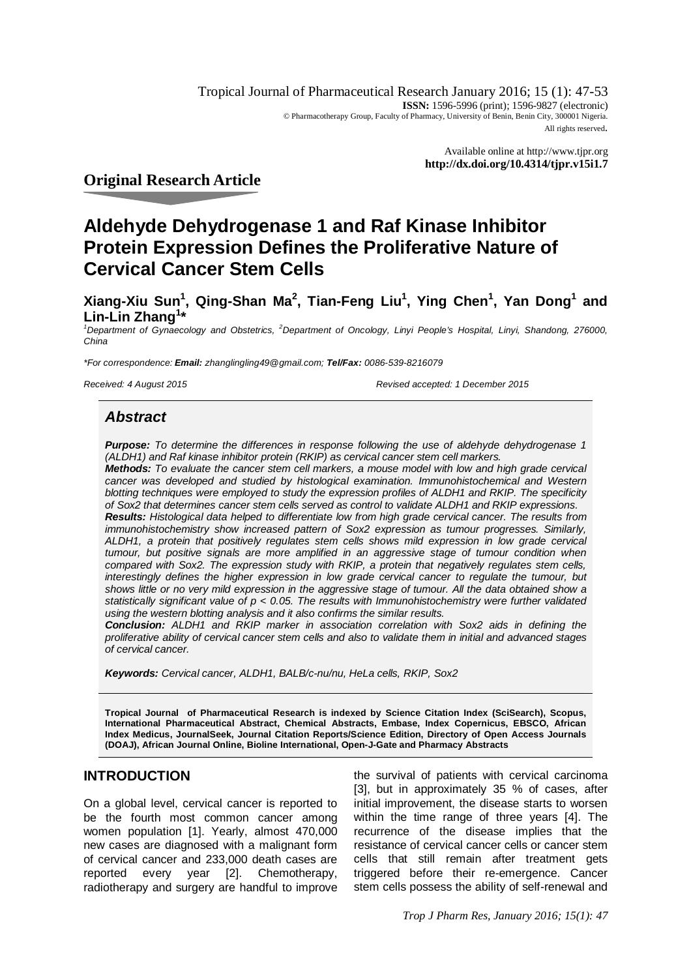Tropical Journal of Pharmaceutical Research January 2016; 15 (1): 47-53 **ISSN:** 1596-5996 (print); 1596-9827 (electronic) © Pharmacotherapy Group, Faculty of Pharmacy, University of Benin, Benin City, 300001 Nigeria. All rights reserved.

> Available online at <http://www.tjpr.org> **<http://dx.doi.org/10.4314/tjpr.v15i1.7>**

# **Original Research Article**

# **Aldehyde Dehydrogenase 1 and Raf Kinase Inhibitor Protein Expression Defines the Proliferative Nature of Cervical Cancer Stem Cells**

**Xiang-Xiu Sun<sup>1</sup> , Qing-Shan Ma<sup>2</sup> , Tian-Feng Liu<sup>1</sup> , Ying Chen<sup>1</sup> , Yan Dong<sup>1</sup> and Lin-Lin Zhang<sup>1</sup> \***

*<sup>1</sup>Department of Gynaecology and Obstetrics, <sup>2</sup>Department of Oncology, Linyi People's Hospital, Linyi, Shandong, 276000, China*

*\*For correspondence: Email: [zhanglingling49@gmail.com;](mailto:zhanglingling49@gmail.com;) Tel/Fax: 0086-539-8216079*

*Received: 4 August 2015 Revised accepted: 1 December 2015*

## *Abstract*

*Purpose: To determine the differences in response following the use of aldehyde dehydrogenase 1 (ALDH1) and Raf kinase inhibitor protein (RKIP) as cervical cancer stem cell markers.* 

*Methods: To evaluate the cancer stem cell markers, a mouse model with low and high grade cervical cancer was developed and studied by histological examination. Immunohistochemical and Western blotting techniques were employed to study the expression profiles of ALDH1 and RKIP. The specificity of Sox2 that determines cancer stem cells served as control to validate ALDH1 and RKIP expressions.* 

*Results: Histological data helped to differentiate low from high grade cervical cancer. The results from immunohistochemistry show increased pattern of Sox2 expression as tumour progresses. Similarly, ALDH1, a protein that positively regulates stem cells shows mild expression in low grade cervical tumour, but positive signals are more amplified in an aggressive stage of tumour condition when compared with Sox2. The expression study with RKIP, a protein that negatively regulates stem cells, interestingly defines the higher expression in low grade cervical cancer to regulate the tumour, but shows little or no very mild expression in the aggressive stage of tumour. All the data obtained show a statistically significant value of p < 0.05. The results with Immunohistochemistry were further validated using the western blotting analysis and it also confirms the similar results.*

*Conclusion: ALDH1 and RKIP marker in association correlation with Sox2 aids in defining the proliferative ability of cervical cancer stem cells and also to validate them in initial and advanced stages of cervical cancer.* 

*Keywords: Cervical cancer, ALDH1, BALB/c-nu/nu, HeLa cells, RKIP, Sox2*

**Tropical Journal of Pharmaceutical Research is indexed by Science Citation Index (SciSearch), Scopus, International Pharmaceutical Abstract, Chemical Abstracts, Embase, Index Copernicus, EBSCO, African Index Medicus, JournalSeek, Journal Citation Reports/Science Edition, Directory of Open Access Journals (DOAJ), African Journal Online, Bioline International, Open-J-Gate and Pharmacy Abstracts**

## **INTRODUCTION**

On a global level, cervical cancer is reported to be the fourth most common cancer among women population [1]. Yearly, almost 470,000 new cases are diagnosed with a malignant form of cervical cancer and 233,000 death cases are reported every year [2]. Chemotherapy, radiotherapy and surgery are handful to improve

the survival of patients with cervical carcinoma [3], but in approximately 35 % of cases, after initial improvement, the disease starts to worsen within the time range of three years [4]. The recurrence of the disease implies that the resistance of cervical cancer cells or cancer stem cells that still remain after treatment gets triggered before their re-emergence. Cancer stem cells possess the ability of self-renewal and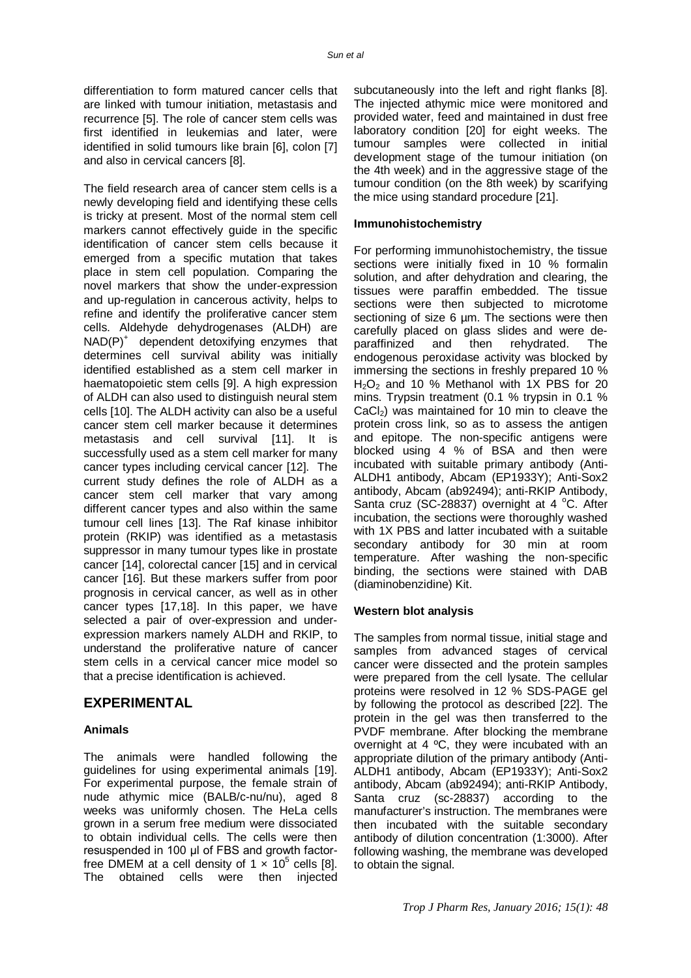differentiation to form matured cancer cells that are linked with tumour initiation, metastasis and recurrence [5]. The role of cancer stem cells was first identified in leukemias and later, were identified in solid tumours like brain [6], colon [7] and also in cervical cancers [8].

The field research area of cancer stem cells is a newly developing field and identifying these cells is tricky at present. Most of the normal stem cell markers cannot effectively guide in the specific identification of cancer stem cells because it emerged from a specific mutation that takes place in stem cell population. Comparing the novel markers that show the under-expression and up-regulation in cancerous activity, helps to refine and identify the proliferative cancer stem cells. Aldehyde dehydrogenases (ALDH) are NAD(P)<sup>+</sup> dependent detoxifying enzymes that determines cell survival ability was initially identified established as a stem cell marker in haematopoietic stem cells [9]. A high expression of ALDH can also used to distinguish neural stem cells [10]. The ALDH activity can also be a useful cancer stem cell marker because it determines metastasis and cell survival [11]. It is successfully used as a stem cell marker for many cancer types including cervical cancer [12]. The current study defines the role of ALDH as a cancer stem cell marker that vary among different cancer types and also within the same tumour cell lines [13]. The Raf kinase inhibitor protein (RKIP) was identified as a metastasis suppressor in many tumour types like in prostate cancer [14], colorectal cancer [15] and in cervical cancer [16]. But these markers suffer from poor prognosis in cervical cancer, as well as in other cancer types [17,18]. In this paper, we have selected a pair of over-expression and underexpression markers namely ALDH and RKIP, to understand the proliferative nature of cancer stem cells in a cervical cancer mice model so that a precise identification is achieved.

## **EXPERIMENTAL**

#### **Animals**

The animals were handled following the guidelines for using experimental animals [19]. For experimental purpose, the female strain of nude athymic mice (BALB/c-nu/nu), aged 8 weeks was uniformly chosen. The HeLa cells grown in a serum free medium were dissociated to obtain individual cells. The cells were then resuspended in 100 μl of FBS and growth factorfree DMEM at a cell density of 1  $\times$  10<sup>5</sup> cells [8]. The obtained cells were then injected

subcutaneously into the left and right flanks [8]. The injected athymic mice were monitored and provided water, feed and maintained in dust free laboratory condition [20] for eight weeks. The tumour samples were collected in initial development stage of the tumour initiation (on the 4th week) and in the aggressive stage of the tumour condition (on the 8th week) by scarifying the mice using standard procedure [21].

#### **Immunohistochemistry**

For performing immunohistochemistry, the tissue sections were initially fixed in 10 % formalin solution, and after dehydration and clearing, the tissues were paraffin embedded. The tissue sections were then subjected to microtome sectioning of size 6 µm. The sections were then carefully placed on glass slides and were deparaffinized and then rehydrated. The endogenous peroxidase activity was blocked by immersing the sections in freshly prepared 10 %  $H<sub>2</sub>O<sub>2</sub>$  and 10 % Methanol with 1X PBS for 20 mins. Trypsin treatment (0.1 % trypsin in 0.1 %  $CaCl<sub>2</sub>$ ) was maintained for 10 min to cleave the protein cross link, so as to assess the antigen and epitope. The non-specific antigens were blocked using 4 % of BSA and then were incubated with suitable primary antibody (Anti-ALDH1 antibody, Abcam (EP1933Y); Anti-Sox2 antibody, Abcam (ab92494); anti-RKIP Antibody, Santa cruz (SC-28837) overnight at 4  $^{\circ}$ C. After incubation, the sections were thoroughly washed with 1X PBS and latter incubated with a suitable secondary antibody for 30 min at room temperature. After washing the non-specific binding, the sections were stained with DAB (diaminobenzidine) Kit.

### **Western blot analysis**

The samples from normal tissue, initial stage and samples from advanced stages of cervical cancer were dissected and the protein samples were prepared from the cell lysate. The cellular proteins were resolved in 12 % SDS-PAGE gel by following the protocol as described [22]. The protein in the gel was then transferred to the PVDF membrane. After blocking the membrane overnight at 4 ºC, they were incubated with an appropriate dilution of the primary antibody (Anti-ALDH1 antibody, Abcam (EP1933Y); Anti-Sox2 antibody, Abcam (ab92494); anti-RKIP Antibody, Santa cruz (sc-28837) according to the manufacturer's instruction. The membranes were then incubated with the suitable secondary antibody of dilution concentration (1:3000). After following washing, the membrane was developed to obtain the signal.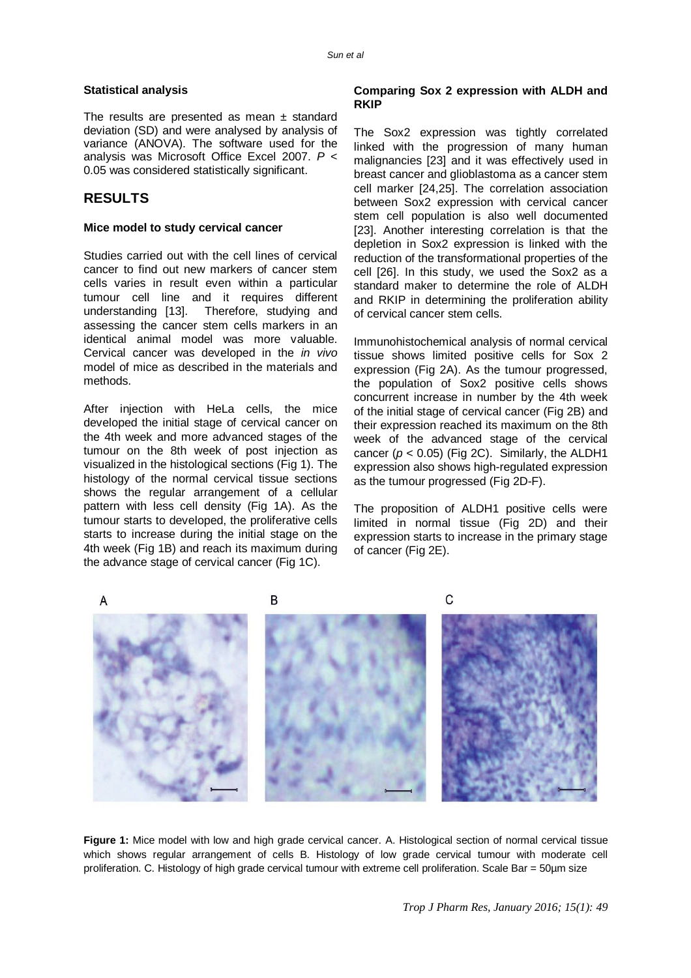#### **Statistical analysis**

The results are presented as mean  $\pm$  standard deviation (SD) and were analysed by analysis of variance (ANOVA). The software used for the analysis was Microsoft Office Excel 2007. *P* < 0.05 was considered statistically significant.

## **RESULTS**

#### **Mice model to study cervical cancer**

Studies carried out with the cell lines of cervical cancer to find out new markers of cancer stem cells varies in result even within a particular tumour cell line and it requires different understanding [13]. Therefore, studying and assessing the cancer stem cells markers in an identical animal model was more valuable. Cervical cancer was developed in the *in vivo* model of mice as described in the materials and methods.

After injection with HeLa cells, the mice developed the initial stage of cervical cancer on the 4th week and more advanced stages of the tumour on the 8th week of post injection as visualized in the histological sections (Fig 1). The histology of the normal cervical tissue sections shows the regular arrangement of a cellular pattern with less cell density (Fig 1A). As the tumour starts to developed, the proliferative cells starts to increase during the initial stage on the 4th week (Fig 1B) and reach its maximum during the advance stage of cervical cancer (Fig 1C).

#### **Comparing Sox 2 expression with ALDH and RKIP**

The Sox2 expression was tightly correlated linked with the progression of many human malignancies [23] and it was effectively used in breast cancer and glioblastoma as a cancer stem cell marker [24,25]. The correlation association between Sox2 expression with cervical cancer stem cell population is also well documented [23]. Another interesting correlation is that the depletion in Sox2 expression is linked with the reduction of the transformational properties of the cell [26]. In this study, we used the Sox2 as a standard maker to determine the role of ALDH and RKIP in determining the proliferation ability of cervical cancer stem cells.

Immunohistochemical analysis of normal cervical tissue shows limited positive cells for Sox 2 expression (Fig 2A). As the tumour progressed, the population of Sox2 positive cells shows concurrent increase in number by the 4th week of the initial stage of cervical cancer (Fig 2B) and their expression reached its maximum on the 8th week of the advanced stage of the cervical cancer  $(p < 0.05)$  (Fig 2C). Similarly, the ALDH1 expression also shows high-regulated expression as the tumour progressed (Fig 2D-F).

The proposition of ALDH1 positive cells were limited in normal tissue (Fig 2D) and their expression starts to increase in the primary stage of cancer (Fig 2E).



**Figure 1:** Mice model with low and high grade cervical cancer. A. Histological section of normal cervical tissue which shows regular arrangement of cells B. Histology of low grade cervical tumour with moderate cell proliferation. C. Histology of high grade cervical tumour with extreme cell proliferation. Scale Bar = 50µm size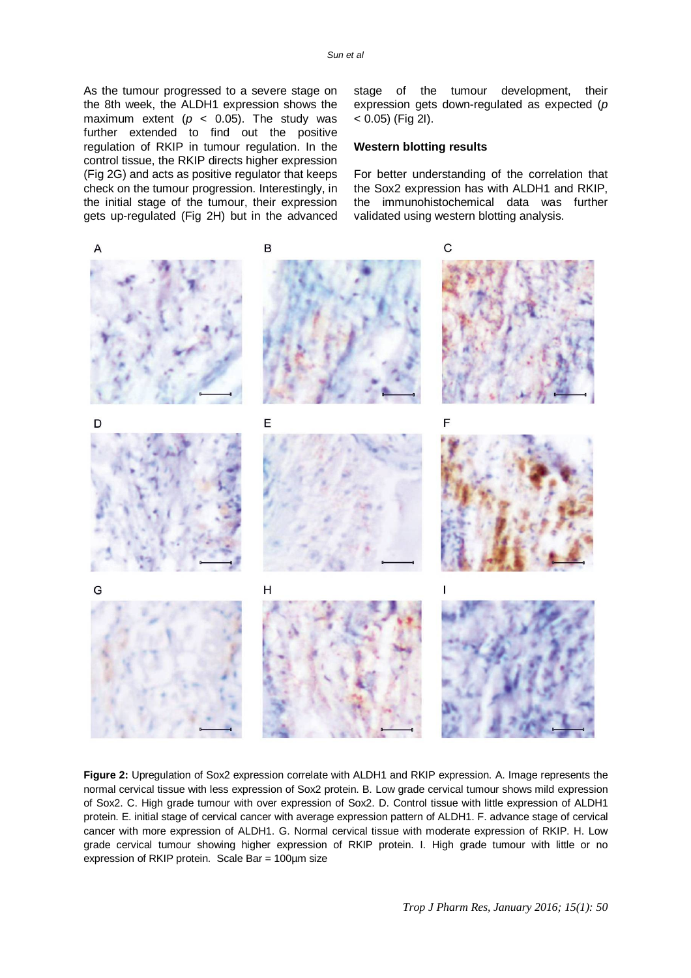As the tumour progressed to a severe stage on the 8th week, the ALDH1 expression shows the maximum extent ( $p < 0.05$ ). The study was further extended to find out the positive regulation of RKIP in tumour regulation. In the control tissue, the RKIP directs higher expression (Fig 2G) and acts as positive regulator that keeps check on the tumour progression. Interestingly, in the initial stage of the tumour, their expression gets up-regulated (Fig 2H) but in the advanced stage of the tumour development, their expression gets down-regulated as expected (*p*  $< 0.05$ ) (Fig 2I).

#### **Western blotting results**

For better understanding of the correlation that the Sox2 expression has with ALDH1 and RKIP, the immunohistochemical data was further validated using western blotting analysis.



**Figure 2:** Upregulation of Sox2 expression correlate with ALDH1 and RKIP expression. A. Image represents the normal cervical tissue with less expression of Sox2 protein. B. Low grade cervical tumour shows mild expression of Sox2. C. High grade tumour with over expression of Sox2. D. Control tissue with little expression of ALDH1 protein. E. initial stage of cervical cancer with average expression pattern of ALDH1. F. advance stage of cervical cancer with more expression of ALDH1. G. Normal cervical tissue with moderate expression of RKIP. H. Low grade cervical tumour showing higher expression of RKIP protein. I. High grade tumour with little or no expression of RKIP protein. Scale Bar = 100µm size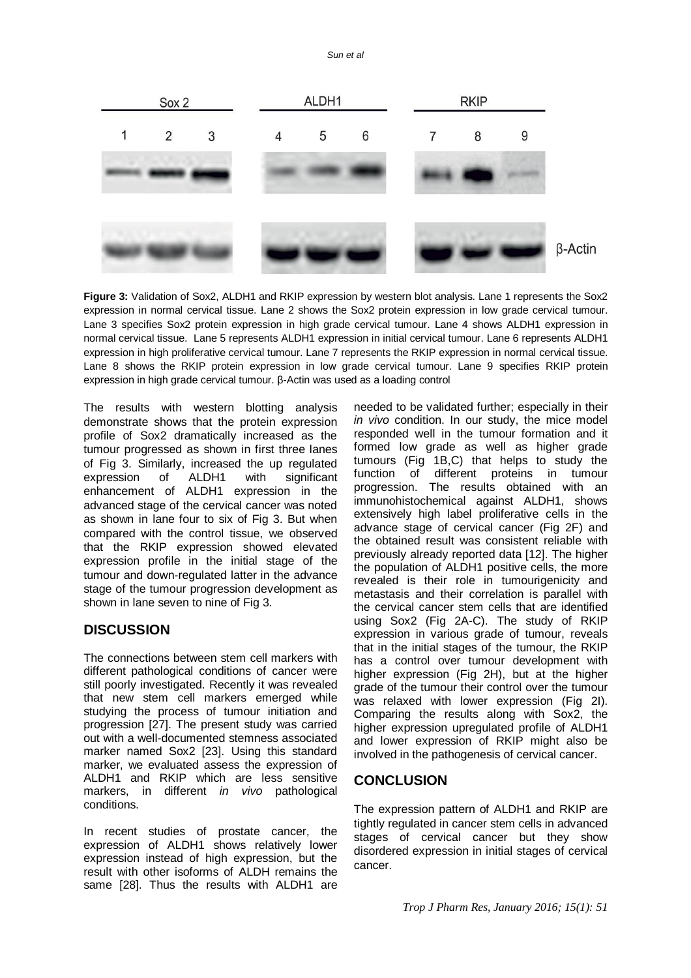*Sun et al*



**Figure 3:** Validation of Sox2, ALDH1 and RKIP expression by western blot analysis. Lane 1 represents the Sox2 expression in normal cervical tissue. Lane 2 shows the Sox2 protein expression in low grade cervical tumour. Lane 3 specifies Sox2 protein expression in high grade cervical tumour. Lane 4 shows ALDH1 expression in normal cervical tissue. Lane 5 represents ALDH1 expression in initial cervical tumour. Lane 6 represents ALDH1 expression in high proliferative cervical tumour. Lane 7 represents the RKIP expression in normal cervical tissue. Lane 8 shows the RKIP protein expression in low grade cervical tumour. Lane 9 specifies RKIP protein expression in high grade cervical tumour. β-Actin was used as a loading control

The results with western blotting analysis demonstrate shows that the protein expression profile of Sox2 dramatically increased as the tumour progressed as shown in first three lanes of Fig 3. Similarly, increased the up regulated expression of ALDH1 with significant enhancement of ALDH1 expression in the advanced stage of the cervical cancer was noted as shown in lane four to six of Fig 3. But when compared with the control tissue, we observed that the RKIP expression showed elevated expression profile in the initial stage of the tumour and down-regulated latter in the advance stage of the tumour progression development as shown in lane seven to nine of Fig 3.

# **DISCUSSION**

The connections between stem cell markers with different pathological conditions of cancer were still poorly investigated. Recently it was revealed that new stem cell markers emerged while studying the process of tumour initiation and progression [27]. The present study was carried out with a well-documented stemness associated marker named Sox2 [23]. Using this standard marker, we evaluated assess the expression of ALDH1 and RKIP which are less sensitive markers, in different *in vivo* pathological conditions.

In recent studies of prostate cancer, the expression of ALDH1 shows relatively lower expression instead of high expression, but the result with other isoforms of ALDH remains the same [28]. Thus the results with ALDH1 are needed to be validated further; especially in their *in vivo* condition. In our study, the mice model responded well in the tumour formation and it formed low grade as well as higher grade tumours (Fig 1B,C) that helps to study the function of different proteins in tumour progression. The results obtained with an immunohistochemical against ALDH1, shows extensively high label proliferative cells in the advance stage of cervical cancer (Fig 2F) and the obtained result was consistent reliable with previously already reported data [12]. The higher the population of ALDH1 positive cells, the more revealed is their role in tumourigenicity and metastasis and their correlation is parallel with the cervical cancer stem cells that are identified using Sox2 (Fig 2A-C). The study of RKIP expression in various grade of tumour, reveals that in the initial stages of the tumour, the RKIP has a control over tumour development with higher expression (Fig 2H), but at the higher grade of the tumour their control over the tumour was relaxed with lower expression (Fig 2I). Comparing the results along with Sox2, the higher expression upregulated profile of ALDH1 and lower expression of RKIP might also be involved in the pathogenesis of cervical cancer.

## **CONCLUSION**

The expression pattern of ALDH1 and RKIP are tightly regulated in cancer stem cells in advanced stages of cervical cancer but they show disordered expression in initial stages of cervical cancer.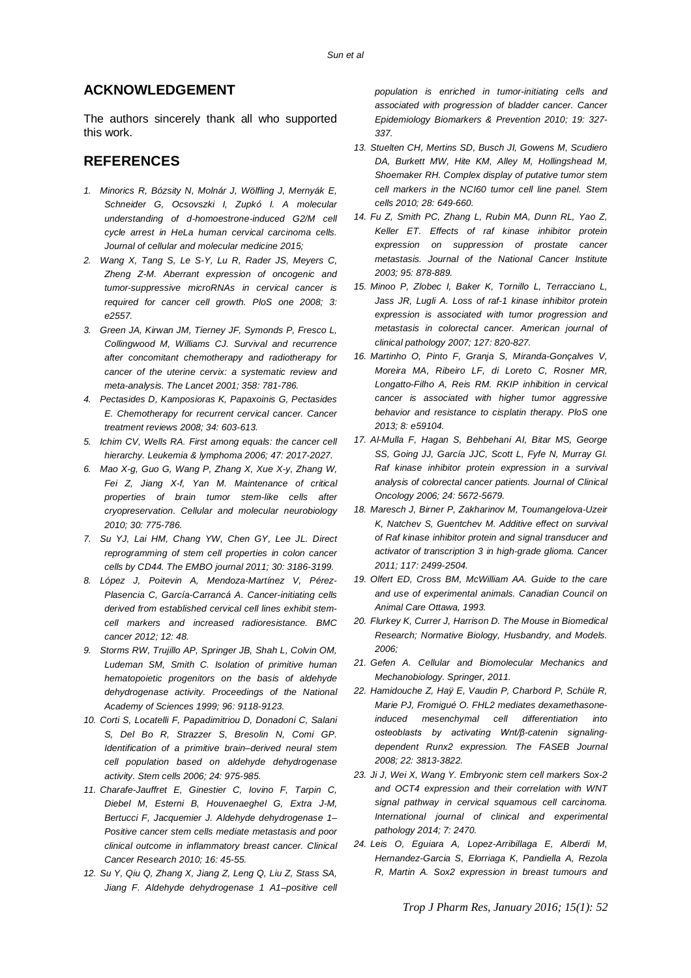## **ACKNOWLEDGEMENT**

The authors sincerely thank all who supported this work.

## **REFERENCES**

- *1. Minorics R, Bózsity N, Molnár J, Wölfling J, Mernyák E, Schneider G, Ocsovszki I, Zupkó I. A molecular understanding of d‐homoestrone‐induced G2/M cell cycle arrest in HeLa human cervical carcinoma cells. Journal of cellular and molecular medicine 2015;*
- *2. Wang X, Tang S, Le S-Y, Lu R, Rader JS, Meyers C, Zheng Z-M. Aberrant expression of oncogenic and tumor-suppressive microRNAs in cervical cancer is required for cancer cell growth. PloS one 2008; 3: e2557.*
- *3. Green JA, Kirwan JM, Tierney JF, Symonds P, Fresco L, Collingwood M, Williams CJ. Survival and recurrence after concomitant chemotherapy and radiotherapy for cancer of the uterine cervix: a systematic review and meta-analysis. The Lancet 2001; 358: 781-786.*
- *4. Pectasides D, Kamposioras K, Papaxoinis G, Pectasides E. Chemotherapy for recurrent cervical cancer. Cancer treatment reviews 2008; 34: 603-613.*
- *5. Ichim CV, Wells RA. First among equals: the cancer cell hierarchy. Leukemia & lymphoma 2006; 47: 2017-2027.*
- *6. Mao X-g, Guo G, Wang P, Zhang X, Xue X-y, Zhang W, Fei Z, Jiang X-f, Yan M. Maintenance of critical properties of brain tumor stem-like cells after cryopreservation. Cellular and molecular neurobiology 2010; 30: 775-786.*
- *7. Su YJ, Lai HM, Chang YW, Chen GY, Lee JL. Direct reprogramming of stem cell properties in colon cancer cells by CD44. The EMBO journal 2011; 30: 3186-3199.*
- *8. López J, Poitevin A, Mendoza-Martínez V, Pérez-Plasencia C, García-Carrancá A. Cancer-initiating cells derived from established cervical cell lines exhibit stemcell markers and increased radioresistance. BMC cancer 2012; 12: 48.*
- *9. Storms RW, Trujillo AP, Springer JB, Shah L, Colvin OM, Ludeman SM, Smith C. Isolation of primitive human hematopoietic progenitors on the basis of aldehyde dehydrogenase activity. Proceedings of the National Academy of Sciences 1999; 96: 9118-9123.*
- *10. Corti S, Locatelli F, Papadimitriou D, Donadoni C, Salani S, Del Bo R, Strazzer S, Bresolin N, Comi GP. Identification of a primitive brain–derived neural stem cell population based on aldehyde dehydrogenase activity. Stem cells 2006; 24: 975-985.*
- *11. Charafe-Jauffret E, Ginestier C, Iovino F, Tarpin C, Diebel M, Esterni B, Houvenaeghel G, Extra J-M, Bertucci F, Jacquemier J. Aldehyde dehydrogenase 1– Positive cancer stem cells mediate metastasis and poor clinical outcome in inflammatory breast cancer. Clinical Cancer Research 2010; 16: 45-55.*
- *12. Su Y, Qiu Q, Zhang X, Jiang Z, Leng Q, Liu Z, Stass SA, Jiang F. Aldehyde dehydrogenase 1 A1–positive cell*

*population is enriched in tumor-initiating cells and associated with progression of bladder cancer. Cancer Epidemiology Biomarkers & Prevention 2010; 19: 327- 337.*

- *13. Stuelten CH, Mertins SD, Busch JI, Gowens M, Scudiero DA, Burkett MW, Hite KM, Alley M, Hollingshead M, Shoemaker RH. Complex display of putative tumor stem cell markers in the NCI60 tumor cell line panel. Stem cells 2010; 28: 649-660.*
- *14. Fu Z, Smith PC, Zhang L, Rubin MA, Dunn RL, Yao Z, Keller ET. Effects of raf kinase inhibitor protein expression on suppression of prostate cancer metastasis. Journal of the National Cancer Institute 2003; 95: 878-889.*
- *15. Minoo P, Zlobec I, Baker K, Tornillo L, Terracciano L, Jass JR, Lugli A. Loss of raf-1 kinase inhibitor protein expression is associated with tumor progression and metastasis in colorectal cancer. American journal of clinical pathology 2007; 127: 820-827.*
- *16. Martinho O, Pinto F, Granja S, Miranda-Gonçalves V, Moreira MA, Ribeiro LF, di Loreto C, Rosner MR, Longatto-Filho A, Reis RM. RKIP inhibition in cervical cancer is associated with higher tumor aggressive behavior and resistance to cisplatin therapy. PloS one 2013; 8: e59104.*
- *17. Al-Mulla F, Hagan S, Behbehani AI, Bitar MS, George SS, Going JJ, García JJC, Scott L, Fyfe N, Murray GI. Raf kinase inhibitor protein expression in a survival analysis of colorectal cancer patients. Journal of Clinical Oncology 2006; 24: 5672-5679.*
- *18. Maresch J, Birner P, Zakharinov M, Toumangelova‐Uzeir K, Natchev S, Guentchev M. Additive effect on survival of Raf kinase inhibitor protein and signal transducer and activator of transcription 3 in high‐grade glioma. Cancer 2011; 117: 2499-2504.*
- *19. Olfert ED, Cross BM, McWilliam AA. Guide to the care and use of experimental animals. Canadian Council on Animal Care Ottawa, 1993.*
- *20. Flurkey K, Currer J, Harrison D. The Mouse in Biomedical Research; Normative Biology, Husbandry, and Models. 2006;*
- *21. Gefen A. Cellular and Biomolecular Mechanics and Mechanobiology. Springer, 2011.*
- *22. Hamidouche Z, Haÿ E, Vaudin P, Charbord P, Schüle R, Marie PJ, Fromigué O. FHL2 mediates dexamethasoneinduced mesenchymal cell differentiation into osteoblasts by activating Wnt/β-catenin signalingdependent Runx2 expression. The FASEB Journal 2008; 22: 3813-3822.*
- *23. Ji J, Wei X, Wang Y. Embryonic stem cell markers Sox-2 and OCT4 expression and their correlation with WNT signal pathway in cervical squamous cell carcinoma. International journal of clinical and experimental pathology 2014; 7: 2470.*
- *24. Leis O, Eguiara A, Lopez-Arribillaga E, Alberdi M, Hernandez-Garcia S, Elorriaga K, Pandiella A, Rezola R, Martin A. Sox2 expression in breast tumours and*

*Trop J Pharm Res, January 2016; 15(1): 52*